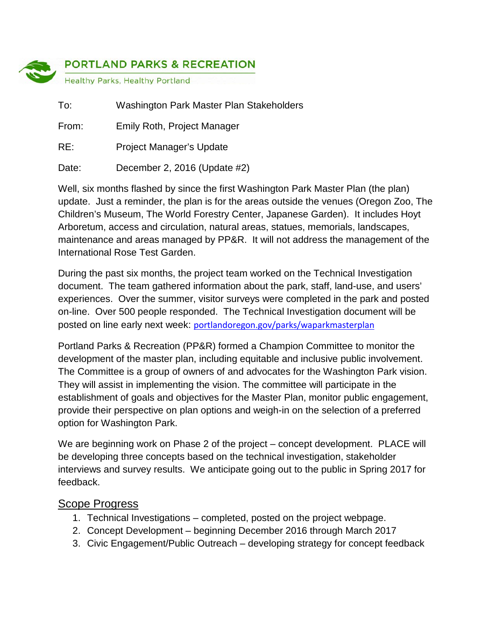

| To:   | Washington Park Master Plan Stakeholders |
|-------|------------------------------------------|
| From: | Emily Roth, Project Manager              |
| RE:   | <b>Project Manager's Update</b>          |
| Date: | December 2, 2016 (Update #2)             |

Well, six months flashed by since the first Washington Park Master Plan (the plan) update. Just a reminder, the plan is for the areas outside the venues (Oregon Zoo, The Children's Museum, The World Forestry Center, Japanese Garden). It includes Hoyt Arboretum, access and circulation, natural areas, statues, memorials, landscapes, maintenance and areas managed by PP&R. It will not address the management of the International Rose Test Garden.

During the past six months, the project team worked on the Technical Investigation document. The team gathered information about the park, staff, land-use, and users' experiences. Over the summer, visitor surveys were completed in the park and posted on-line. Over 500 people responded. The Technical Investigation document will be posted on line early next week: [portlandoregon.gov/parks/waparkmasterplan](http://www.portlandoregon.gov/parks/70954)

Portland Parks & Recreation (PP&R) formed a Champion Committee to monitor the development of the master plan, including equitable and inclusive public involvement. The Committee is a group of owners of and advocates for the Washington Park vision. They will assist in implementing the vision. The committee will participate in the establishment of goals and objectives for the Master Plan, monitor public engagement, provide their perspective on plan options and weigh-in on the selection of a preferred option for Washington Park.

We are beginning work on Phase 2 of the project – concept development. PLACE will be developing three concepts based on the technical investigation, stakeholder interviews and survey results. We anticipate going out to the public in Spring 2017 for feedback.

#### Scope Progress

- 1. Technical Investigations completed, posted on the project webpage.
- 2. Concept Development beginning December 2016 through March 2017
- 3. Civic Engagement/Public Outreach developing strategy for concept feedback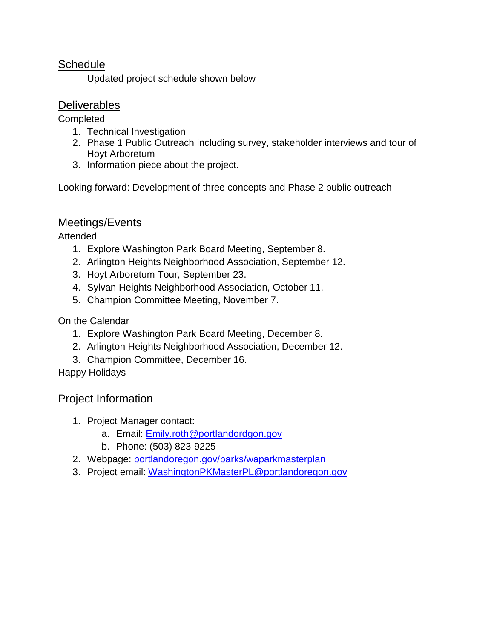### **Schedule**

Updated project schedule shown below

## **Deliverables**

**Completed** 

- 1. Technical Investigation
- 2. Phase 1 Public Outreach including survey, stakeholder interviews and tour of Hoyt Arboretum
- 3. Information piece about the project.

Looking forward: Development of three concepts and Phase 2 public outreach

# Meetings/Events

Attended

- 1. Explore Washington Park Board Meeting, September 8.
- 2. Arlington Heights Neighborhood Association, September 12.
- 3. Hoyt Arboretum Tour, September 23.
- 4. Sylvan Heights Neighborhood Association, October 11.
- 5. Champion Committee Meeting, November 7.

On the Calendar

- 1. Explore Washington Park Board Meeting, December 8.
- 2. Arlington Heights Neighborhood Association, December 12.
- 3. Champion Committee, December 16.

Happy Holidays

## Project Information

- 1. Project Manager contact:
	- a. Email: [Emily.roth@portlandordgon.gov](mailto:Emily.roth@portlandordgon.gov)
	- b. Phone: (503) 823-9225
- 2. Webpage: [portlandoregon.gov/parks/waparkmasterplan](http://www.portlandoregon.gov/parks/finder/index.cfm?action=ViewPark&ShowResults=yes&PropertyID=1113)
- 3. Project email: [WashingtonPKMasterPL@portlandoregon.gov](mailto:WashingtonPKMasterPL@portlandoregon.gov)